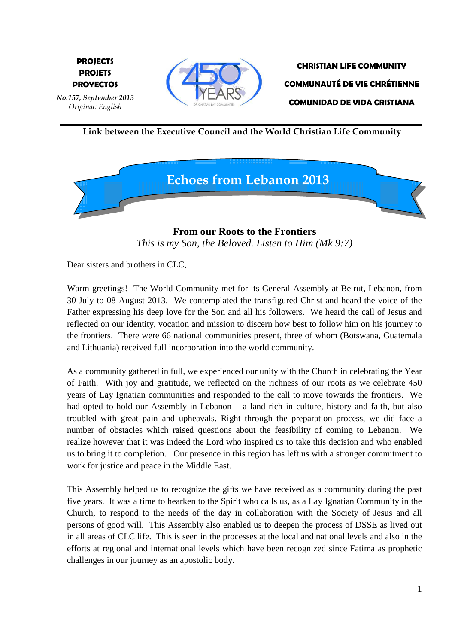

**CHRISTIAN LIFE COMMUNITY COMMUNAUTÉ DE VIE CHRÉTIENNE COMUNIDAD DE VIDA CRISTIANA** 

 **Link between the Executive Council and the World Christian Life Community**



**From our Roots to the Frontiers**  *This is my Son, the Beloved. Listen to Him (Mk 9:7)*

Dear sisters and brothers in CLC,

**E PROYECTOS**

*No.157, September 2013 Original: English* 

**PROJECTS PROJETS** 

Warm greetings! The World Community met for its General Assembly at Beirut, Lebanon, from 30 July to 08 August 2013. We contemplated the transfigured Christ and heard the voice of the Father expressing his deep love for the Son and all his followers. We heard the call of Jesus and reflected on our identity, vocation and mission to discern how best to follow him on his journey to the frontiers. There were 66 national communities present, three of whom (Botswana, Guatemala and Lithuania) received full incorporation into the world community.

As a community gathered in full, we experienced our unity with the Church in celebrating the Year of Faith. With joy and gratitude, we reflected on the richness of our roots as we celebrate 450 years of Lay Ignatian communities and responded to the call to move towards the frontiers. We had opted to hold our Assembly in Lebanon – a land rich in culture, history and faith, but also troubled with great pain and upheavals. Right through the preparation process, we did face a number of obstacles which raised questions about the feasibility of coming to Lebanon. We realize however that it was indeed the Lord who inspired us to take this decision and who enabled us to bring it to completion. Our presence in this region has left us with a stronger commitment to work for justice and peace in the Middle East.

This Assembly helped us to recognize the gifts we have received as a community during the past five years. It was a time to hearken to the Spirit who calls us, as a Lay Ignatian Community in the Church, to respond to the needs of the day in collaboration with the Society of Jesus and all persons of good will. This Assembly also enabled us to deepen the process of DSSE as lived out in all areas of CLC life. This is seen in the processes at the local and national levels and also in the efforts at regional and international levels which have been recognized since Fatima as prophetic challenges in our journey as an apostolic body.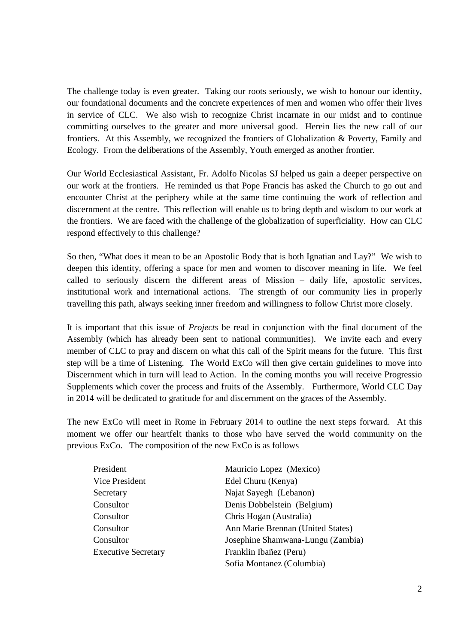The challenge today is even greater. Taking our roots seriously, we wish to honour our identity, our foundational documents and the concrete experiences of men and women who offer their lives in service of CLC. We also wish to recognize Christ incarnate in our midst and to continue committing ourselves to the greater and more universal good. Herein lies the new call of our frontiers. At this Assembly, we recognized the frontiers of Globalization & Poverty, Family and Ecology. From the deliberations of the Assembly, Youth emerged as another frontier.

Our World Ecclesiastical Assistant, Fr. Adolfo Nicolas SJ helped us gain a deeper perspective on our work at the frontiers. He reminded us that Pope Francis has asked the Church to go out and encounter Christ at the periphery while at the same time continuing the work of reflection and discernment at the centre. This reflection will enable us to bring depth and wisdom to our work at the frontiers. We are faced with the challenge of the globalization of superficiality. How can CLC respond effectively to this challenge?

So then, "What does it mean to be an Apostolic Body that is both Ignatian and Lay?" We wish to deepen this identity, offering a space for men and women to discover meaning in life. We feel called to seriously discern the different areas of Mission – daily life, apostolic services, institutional work and international actions. The strength of our community lies in properly travelling this path, always seeking inner freedom and willingness to follow Christ more closely.

It is important that this issue of *Projects* be read in conjunction with the final document of the Assembly (which has already been sent to national communities). We invite each and every member of CLC to pray and discern on what this call of the Spirit means for the future. This first step will be a time of Listening. The World ExCo will then give certain guidelines to move into Discernment which in turn will lead to Action. In the coming months you will receive Progressio Supplements which cover the process and fruits of the Assembly. Furthermore, World CLC Day in 2014 will be dedicated to gratitude for and discernment on the graces of the Assembly.

The new ExCo will meet in Rome in February 2014 to outline the next steps forward. At this moment we offer our heartfelt thanks to those who have served the world community on the previous ExCo. The composition of the new ExCo is as follows

| President                  | Mauricio Lopez (Mexico)           |
|----------------------------|-----------------------------------|
| Vice President             | Edel Churu (Kenya)                |
| Secretary                  | Najat Sayegh (Lebanon)            |
| Consultor                  | Denis Dobbelstein (Belgium)       |
| Consultor                  | Chris Hogan (Australia)           |
| Consultor                  | Ann Marie Brennan (United States) |
| Consultor                  | Josephine Shamwana-Lungu (Zambia) |
| <b>Executive Secretary</b> | Franklin Ibañez (Peru)            |
|                            | Sofia Montanez (Columbia)         |